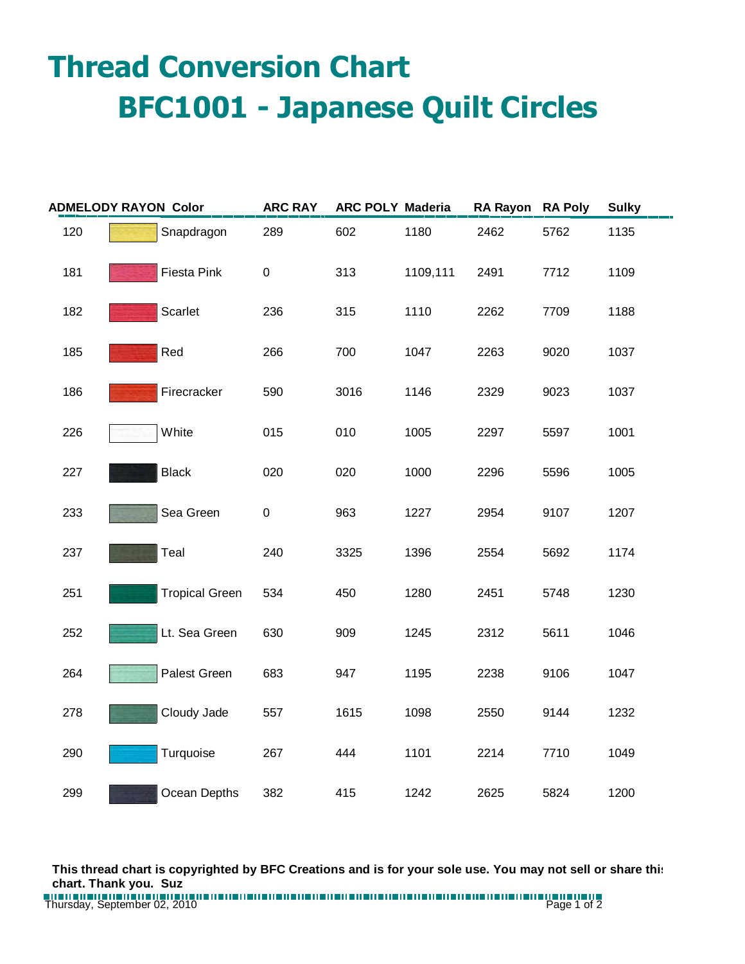## **Thread Conversion Chart BFC1001 - Japanese Quilt Circles**

| <b>ADMELODY RAYON Color</b> |              |                       | <b>ARC RAY</b> | <b>ARC POLY Maderia</b> |          | RA Rayon RA Poly |      | <b>Sulky</b> |
|-----------------------------|--------------|-----------------------|----------------|-------------------------|----------|------------------|------|--------------|
| 120                         |              | Snapdragon            | 289            | 602                     | 1180     | 2462             | 5762 | 1135         |
| 181                         |              | Fiesta Pink           | $\pmb{0}$      | 313                     | 1109,111 | 2491             | 7712 | 1109         |
| 182                         |              | Scarlet               | 236            | 315                     | 1110     | 2262             | 7709 | 1188         |
| 185                         | Red          |                       | 266            | 700                     | 1047     | 2263             | 9020 | 1037         |
| 186                         |              | Firecracker           | 590            | 3016                    | 1146     | 2329             | 9023 | 1037         |
| 226                         | White        |                       | 015            | 010                     | 1005     | 2297             | 5597 | 1001         |
| 227                         | <b>Black</b> |                       | 020            | 020                     | 1000     | 2296             | 5596 | 1005         |
| 233                         |              | Sea Green             | $\pmb{0}$      | 963                     | 1227     | 2954             | 9107 | 1207         |
| 237                         | Teal         |                       | 240            | 3325                    | 1396     | 2554             | 5692 | 1174         |
| 251                         |              | <b>Tropical Green</b> | 534            | 450                     | 1280     | 2451             | 5748 | 1230         |
| 252                         |              | Lt. Sea Green         | 630            | 909                     | 1245     | 2312             | 5611 | 1046         |
| 264                         |              | Palest Green          | 683            | 947                     | 1195     | 2238             | 9106 | 1047         |
| 278                         |              | Cloudy Jade           | 557            | 1615                    | 1098     | 2550             | 9144 | 1232         |
| 290                         |              | Turquoise             | 267            | 444                     | 1101     | 2214             | 7710 | 1049         |
| 299                         |              | Ocean Depths          | 382            | 415                     | 1242     | 2625             | 5824 | 1200         |

**This thread chart is copyrighted by BFC Creations and is for your sole use. You may not sell or share this chart. Thank you. Suz**